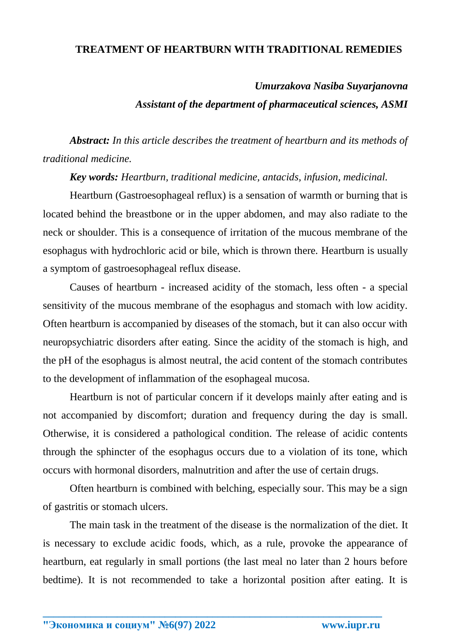## **TREATMENT OF HEARTBURN WITH TRADITIONAL REMEDIES**

# *Umurzakova Nasiba Suyarjanovna*

#### *Assistant of the department of pharmaceutical sciences, ASMI*

*Abstract: In this article describes the treatment of heartburn and its methods of traditional medicine.*

*Key words: Heartburn, traditional medicine, antacids, infusion, medicinal.*

Heartburn (Gastroesophageal reflux) is a sensation of warmth or burning that is located behind the breastbone or in the upper abdomen, and may also radiate to the neck or shoulder. This is a consequence of irritation of the mucous membrane of the esophagus with hydrochloric acid or bile, which is thrown there. Heartburn is usually a symptom of gastroesophageal reflux disease.

Causes of heartburn - increased acidity of the stomach, less often - a special sensitivity of the mucous membrane of the esophagus and stomach with low acidity. Often heartburn is accompanied by diseases of the stomach, but it can also occur with neuropsychiatric disorders after eating. Since the acidity of the stomach is high, and the pH of the esophagus is almost neutral, the acid content of the stomach contributes to the development of inflammation of the esophageal mucosa.

Heartburn is not of particular concern if it develops mainly after eating and is not accompanied by discomfort; duration and frequency during the day is small. Otherwise, it is considered a pathological condition. The release of acidic contents through the sphincter of the esophagus occurs due to a violation of its tone, which occurs with hormonal disorders, malnutrition and after the use of certain drugs.

Often heartburn is combined with belching, especially sour. This may be a sign of gastritis or stomach ulcers.

The main task in the treatment of the disease is the normalization of the diet. It is necessary to exclude acidic foods, which, as a rule, provoke the appearance of heartburn, eat regularly in small portions (the last meal no later than 2 hours before bedtime). It is not recommended to take a horizontal position after eating. It is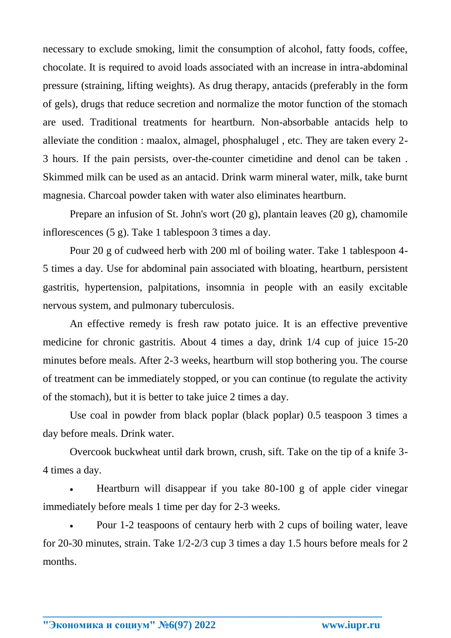necessary to exclude smoking, limit the consumption of alcohol, fatty foods, coffee, chocolate. It is required to avoid loads associated with an increase in intra-abdominal pressure (straining, lifting weights). As drug therapy, antacids (preferably in the form of gels), drugs that reduce secretion and normalize the motor function of the stomach are used. Traditional treatments for heartburn. Non-absorbable antacids help to alleviate the condition : maalox, almagel, phosphalugel , etc. They are taken every 2- 3 hours. If the pain persists, over-the-counter cimetidine and denol can be taken . Skimmed milk can be used as an antacid. Drink warm mineral water, milk, take burnt magnesia. Charcoal powder taken with water also eliminates heartburn.

Prepare an infusion of St. John's wort (20 g), plantain leaves (20 g), chamomile inflorescences (5 g). Take 1 tablespoon 3 times a day.

Pour 20 g of cudweed herb with 200 ml of boiling water. Take 1 tablespoon 4- 5 times a day. Use for abdominal pain associated with bloating, heartburn, persistent gastritis, hypertension, palpitations, insomnia in people with an easily excitable nervous system, and pulmonary tuberculosis.

An effective remedy is fresh raw potato juice. It is an effective preventive medicine for chronic gastritis. About 4 times a day, drink 1/4 cup of juice 15-20 minutes before meals. After 2-3 weeks, heartburn will stop bothering you. The course of treatment can be immediately stopped, or you can continue (to regulate the activity of the stomach), but it is better to take juice 2 times a day.

Use coal in powder from black poplar (black poplar) 0.5 teaspoon 3 times a day before meals. Drink water.

Overcook buckwheat until dark brown, crush, sift. Take on the tip of a knife 3- 4 times a day.

 Heartburn will disappear if you take 80-100 g of apple cider vinegar immediately before meals 1 time per day for 2-3 weeks.

 Pour 1-2 teaspoons of centaury herb with 2 cups of boiling water, leave for 20-30 minutes, strain. Take 1/2-2/3 cup 3 times a day 1.5 hours before meals for 2 months.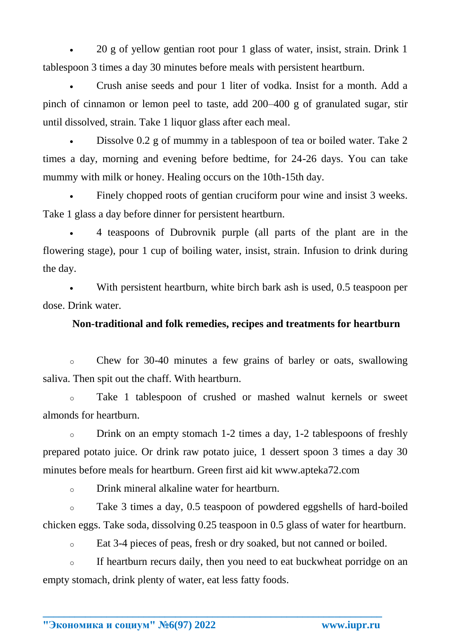20 g of yellow gentian root pour 1 glass of water, insist, strain. Drink 1 tablespoon 3 times a day 30 minutes before meals with persistent heartburn.

 Crush anise seeds and pour 1 liter of vodka. Insist for a month. Add a pinch of cinnamon or lemon peel to taste, add 200–400 g of granulated sugar, stir until dissolved, strain. Take 1 liquor glass after each meal.

 Dissolve 0.2 g of mummy in a tablespoon of tea or boiled water. Take 2 times a day, morning and evening before bedtime, for 24-26 days. You can take mummy with milk or honey. Healing occurs on the 10th-15th day.

 Finely chopped roots of gentian cruciform pour wine and insist 3 weeks. Take 1 glass a day before dinner for persistent heartburn.

 4 teaspoons of Dubrovnik purple (all parts of the plant are in the flowering stage), pour 1 cup of boiling water, insist, strain. Infusion to drink during the day.

 With persistent heartburn, white birch bark ash is used, 0.5 teaspoon per dose. Drink water.

### **Non-traditional and folk remedies, recipes and treatments for heartburn**

o Chew for 30-40 minutes a few grains of barley or oats, swallowing saliva. Then spit out the chaff. With heartburn.

o Take 1 tablespoon of crushed or mashed walnut kernels or sweet almonds for heartburn.

o Drink on an empty stomach 1-2 times a day, 1-2 tablespoons of freshly prepared potato juice. Or drink raw potato juice, 1 dessert spoon 3 times a day 30 minutes before meals for heartburn. Green first aid kit www.apteka72.com

o Drink mineral alkaline water for heartburn.

o Take 3 times a day, 0.5 teaspoon of powdered eggshells of hard-boiled chicken eggs. Take soda, dissolving 0.25 teaspoon in 0.5 glass of water for heartburn.

o Eat 3-4 pieces of peas, fresh or dry soaked, but not canned or boiled.

o If heartburn recurs daily, then you need to eat buckwheat porridge on an empty stomach, drink plenty of water, eat less fatty foods.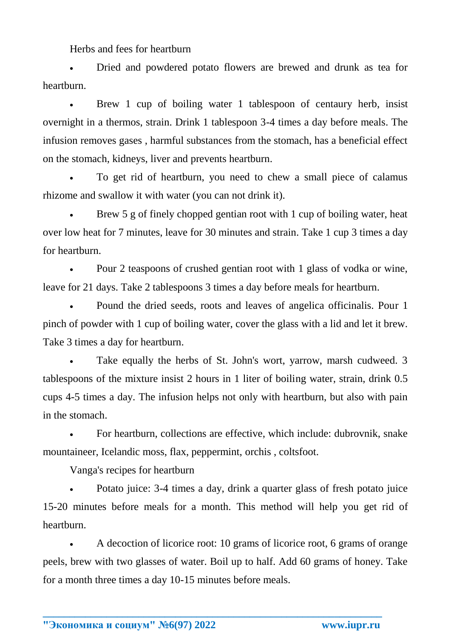Herbs and fees for heartburn

 Dried and powdered potato flowers are brewed and drunk as tea for heartburn.

 Brew 1 cup of boiling water 1 tablespoon of centaury herb, insist overnight in a thermos, strain. Drink 1 tablespoon 3-4 times a day before meals. The infusion removes gases , harmful substances from the stomach, has a beneficial effect on the stomach, kidneys, liver and prevents heartburn.

 To get rid of heartburn, you need to chew a small piece of calamus rhizome and swallow it with water (you can not drink it).

 Brew 5 g of finely chopped gentian root with 1 cup of boiling water, heat over low heat for 7 minutes, leave for 30 minutes and strain. Take 1 cup 3 times a day for heartburn.

 Pour 2 teaspoons of crushed gentian root with 1 glass of vodka or wine, leave for 21 days. Take 2 tablespoons 3 times a day before meals for heartburn.

 Pound the dried seeds, roots and leaves of angelica officinalis. Pour 1 pinch of powder with 1 cup of boiling water, cover the glass with a lid and let it brew. Take 3 times a day for heartburn.

 Take equally the herbs of St. John's wort, yarrow, marsh cudweed. 3 tablespoons of the mixture insist 2 hours in 1 liter of boiling water, strain, drink 0.5 cups 4-5 times a day. The infusion helps not only with heartburn, but also with pain in the stomach.

 For heartburn, collections are effective, which include: dubrovnik, snake mountaineer, Icelandic moss, flax, peppermint, [orchis ,](http://www.apteka72.com/yatryshnik-klubni-10g) coltsfoot.

Vanga's recipes for heartburn

 Potato juice: 3-4 times a day, drink a quarter glass of fresh potato juice 15-20 minutes before meals for a month. This method will help you get rid of heartburn.

 A decoction of licorice root: 10 grams of licorice root, 6 grams of orange peels, brew with two glasses of water. Boil up to half. Add 60 grams of honey. Take for a month three times a day 10-15 minutes before meals.